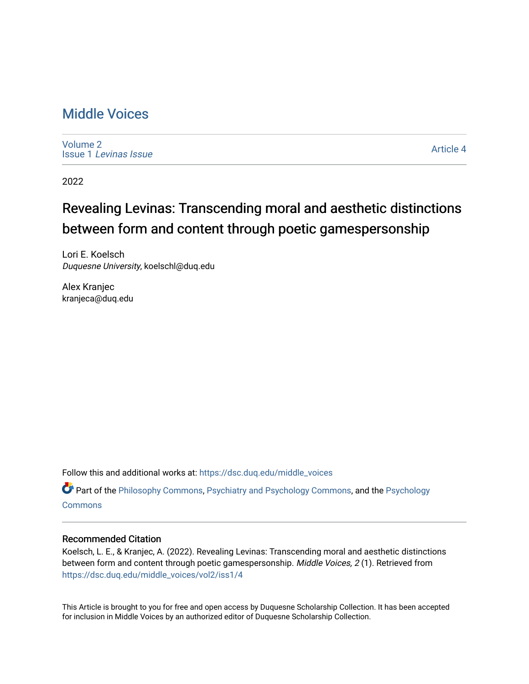## [Middle Voices](https://dsc.duq.edu/middle_voices)

[Volume 2](https://dsc.duq.edu/middle_voices/vol2) Issue 1 [Levinas Issue](https://dsc.duq.edu/middle_voices/vol2/iss1)

[Article 4](https://dsc.duq.edu/middle_voices/vol2/iss1/4) 

2022

## Revealing Levinas: Transcending moral and aesthetic distinctions between form and content through poetic gamespersonship

Lori E. Koelsch Duquesne University, koelschl@duq.edu

Alex Kranjec kranjeca@duq.edu

Follow this and additional works at: [https://dsc.duq.edu/middle\\_voices](https://dsc.duq.edu/middle_voices?utm_source=dsc.duq.edu%2Fmiddle_voices%2Fvol2%2Fiss1%2F4&utm_medium=PDF&utm_campaign=PDFCoverPages)

Part of the [Philosophy Commons,](http://network.bepress.com/hgg/discipline/525?utm_source=dsc.duq.edu%2Fmiddle_voices%2Fvol2%2Fiss1%2F4&utm_medium=PDF&utm_campaign=PDFCoverPages) [Psychiatry and Psychology Commons,](http://network.bepress.com/hgg/discipline/908?utm_source=dsc.duq.edu%2Fmiddle_voices%2Fvol2%2Fiss1%2F4&utm_medium=PDF&utm_campaign=PDFCoverPages) and the [Psychology](http://network.bepress.com/hgg/discipline/404?utm_source=dsc.duq.edu%2Fmiddle_voices%2Fvol2%2Fiss1%2F4&utm_medium=PDF&utm_campaign=PDFCoverPages)  **[Commons](http://network.bepress.com/hgg/discipline/404?utm_source=dsc.duq.edu%2Fmiddle_voices%2Fvol2%2Fiss1%2F4&utm_medium=PDF&utm_campaign=PDFCoverPages)** 

## Recommended Citation

Koelsch, L. E., & Kranjec, A. (2022). Revealing Levinas: Transcending moral and aesthetic distinctions between form and content through poetic gamespersonship. Middle Voices, 2(1). Retrieved from [https://dsc.duq.edu/middle\\_voices/vol2/iss1/4](https://dsc.duq.edu/middle_voices/vol2/iss1/4?utm_source=dsc.duq.edu%2Fmiddle_voices%2Fvol2%2Fiss1%2F4&utm_medium=PDF&utm_campaign=PDFCoverPages)

This Article is brought to you for free and open access by Duquesne Scholarship Collection. It has been accepted for inclusion in Middle Voices by an authorized editor of Duquesne Scholarship Collection.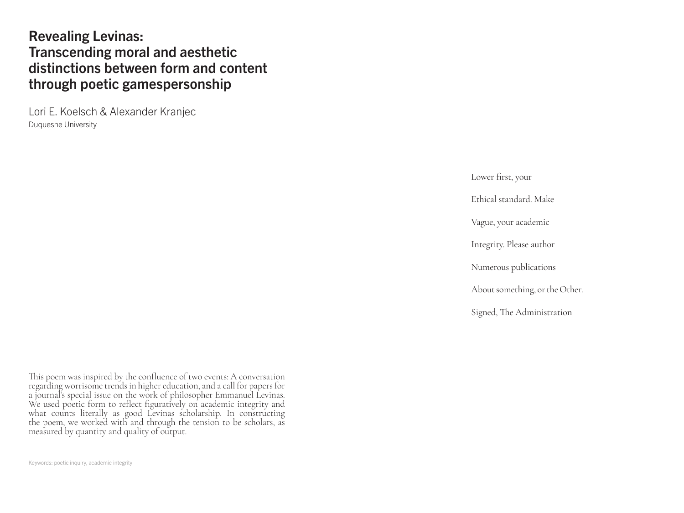## Revealing Levinas: Transcending moral and aesthetic distinctions between form and content through poetic gamespersonship

Lori E. Koelsch & Alexander Kranjec Duquesne University

Lower first, your

Ethical standard. Make

Vague, your academic

Integrity. Please author

Numerous publications

About something, or the Other.

Signed, The Administration

This poem was inspired by the confluence of two events: A conversation regarding worrisome trends in higher education, and a call for papers for a journal's special issue on the work of philosopher Emmanuel Levinas. We used poetic form to reflect figuratively on academic integrity and what counts literally as good Levinas scholarship. In constructing the poem, we worked with and through the tension to be scholars, as measured by quantity and quality of output.

Keywords: poetic inquiry, academic integrity